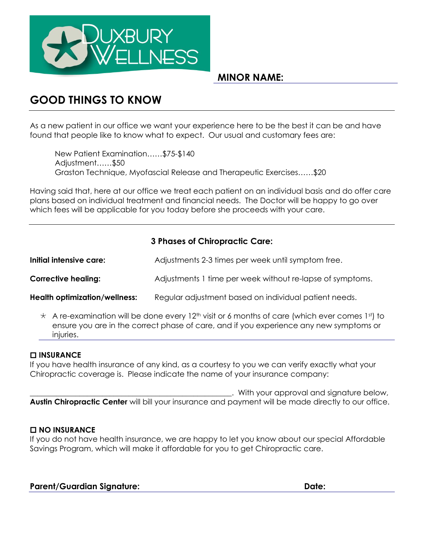

## **MINOR NAME:**

# **GOOD THINGS TO KNOW**

As a new patient in our office we want your experience here to be the best it can be and have found that people like to know what to expect. Our usual and customary fees are:

New Patient Examination……\$75-\$140 Adjustment……\$50 Graston Technique, Myofascial Release and Therapeutic Exercises……\$20

Having said that, here at our office we treat each patient on an individual basis and do offer care plans based on individual treatment and financial needs. The Doctor will be happy to go over which fees will be applicable for you today before she proceeds with your care.

### **3 Phases of Chiropractic Care:**

| Initial intensive care:              | Adjustments 2-3 times per week until symptom free.        |
|--------------------------------------|-----------------------------------------------------------|
| <b>Corrective healing:</b>           | Adjustments 1 time per week without re-lapse of symptoms. |
| <b>Health optimization/wellness:</b> | Regular adjustment based on individual patient needs.     |

 $\star$  A re-examination will be done every 12<sup>th</sup> visit or 6 months of care (which ever comes 1st) to ensure you are in the correct phase of care, and if you experience any new symptoms or injuries.

#### **INSURANCE**

If you have health insurance of any kind, as a courtesy to you we can verify exactly what your Chiropractic coverage is. Please indicate the name of your insurance company:

. With your approval and signature below, **Austin Chiropractic Center** will bill your insurance and payment will be made directly to our office.

#### **NO INSURANCE**

If you do not have health insurance, we are happy to let you know about our special Affordable Savings Program, which will make it affordable for you to get Chiropractic care.

| <b>Parent/Guardian Signature:</b> | Date: |
|-----------------------------------|-------|
|                                   |       |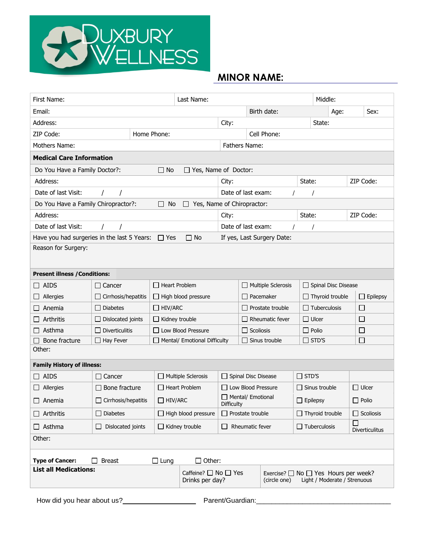

# **MINOR NAME:**

| First Name:<br>Last Name:                                            |                                                   |                                                                                                |                                           |                                      |                                        |                  |                            | Middle:              |                               |                        |                       |
|----------------------------------------------------------------------|---------------------------------------------------|------------------------------------------------------------------------------------------------|-------------------------------------------|--------------------------------------|----------------------------------------|------------------|----------------------------|----------------------|-------------------------------|------------------------|-----------------------|
| Email:                                                               |                                                   |                                                                                                |                                           |                                      | Birth date:                            |                  |                            | Age:                 |                               | Sex:                   |                       |
| Address:                                                             |                                                   |                                                                                                |                                           |                                      | City:                                  |                  |                            |                      | State:                        |                        |                       |
| ZIP Code:<br>Home Phone:                                             |                                                   |                                                                                                |                                           |                                      | Cell Phone:                            |                  |                            |                      |                               |                        |                       |
| Mothers Name:                                                        |                                                   |                                                                                                |                                           |                                      |                                        | Fathers Name:    |                            |                      |                               |                        |                       |
| <b>Medical Care Information</b>                                      |                                                   |                                                                                                |                                           |                                      |                                        |                  |                            |                      |                               |                        |                       |
| Do You Have a Family Doctor?:<br>$\Box$ No<br>□ Yes, Name of Doctor: |                                                   |                                                                                                |                                           |                                      |                                        |                  |                            |                      |                               |                        |                       |
| Address:                                                             | City:                                             |                                                                                                |                                           | State:                               |                                        |                  | ZIP Code:                  |                      |                               |                        |                       |
| Date of last Visit:                                                  |                                                   |                                                                                                |                                           |                                      | Date of last exam:                     |                  |                            |                      |                               |                        |                       |
| Do You Have a Family Chiropractor?:                                  |                                                   |                                                                                                | No<br>$\Box$                              | Yes, Name of Chiropractor:<br>$\Box$ |                                        |                  |                            |                      |                               |                        |                       |
| Address:                                                             |                                                   |                                                                                                |                                           |                                      | City:                                  |                  |                            | State:               |                               |                        | ZIP Code:             |
| Date of last Visit:                                                  |                                                   |                                                                                                |                                           |                                      | Date of last exam:                     |                  |                            |                      |                               |                        |                       |
| Have you had surgeries in the last 5 Years:                          |                                                   |                                                                                                | $\Box$ Yes                                | $\Box$ No                            |                                        |                  | If yes, Last Surgery Date: |                      |                               |                        |                       |
| Reason for Surgery:                                                  |                                                   |                                                                                                |                                           |                                      |                                        |                  |                            |                      |                               |                        |                       |
|                                                                      |                                                   |                                                                                                |                                           |                                      |                                        |                  |                            |                      |                               |                        |                       |
| <b>Present illness / Conditions:</b>                                 |                                                   |                                                                                                |                                           |                                      |                                        |                  |                            |                      |                               |                        |                       |
| $\Box$ AIDS                                                          | $\Box$ Cancer                                     |                                                                                                |                                           | □ Heart Problem                      |                                        |                  | $\Box$ Multiple Sclerosis  |                      |                               | Spinal Disc Disease    |                       |
| Allergies                                                            | $\Box$ Cirrhosis/hepatitis                        |                                                                                                | $\Box$ High blood pressure<br>□ Pacemaker |                                      |                                        |                  |                            |                      |                               | $\Box$ Thyroid trouble | $\Box$ Epilepsy       |
| Anemia                                                               | $\Box$ Diabetes                                   |                                                                                                | $\Box$ HIV/ARC                            |                                      |                                        | Prostate trouble |                            |                      | $\Box$ Tuberculosis<br>$\Box$ |                        |                       |
| Arthritis                                                            | $\Box$ Dislocated joints                          |                                                                                                | $\Box$ Kidney trouble                     |                                      |                                        | Rheumatic fever  | $\Box$ Ulcer<br>□          |                      |                               |                        |                       |
| Asthma                                                               | $\Box$ Diverticulitis                             |                                                                                                | □ Low Blood Pressure                      |                                      |                                        |                  | $\Box$ Scoliosis           |                      |                               | $\Box$ Polio<br>$\Box$ |                       |
| Bone fracture                                                        | Hay Fever<br>$\perp$                              |                                                                                                |                                           | Mental/ Emotional Difficulty         | Sinus trouble                          |                  |                            | $\Box$ STD'S<br>□    |                               |                        |                       |
| Other:                                                               |                                                   |                                                                                                |                                           |                                      |                                        |                  |                            |                      |                               |                        |                       |
| <b>Family History of illness:</b>                                    |                                                   |                                                                                                |                                           |                                      |                                        |                  |                            |                      |                               |                        |                       |
| $\Box$ AIDS                                                          | Cancer                                            |                                                                                                |                                           | $\Box$ Multiple Sclerosis            | Spinal Disc Disease                    |                  | $\Box$ STD'S               |                      |                               |                        |                       |
| Allergies                                                            | Bone fracture                                     |                                                                                                |                                           | $\Box$ Heart Problem                 | $\Box$ Low Blood Pressure              |                  |                            | $\Box$ Sinus trouble |                               |                        | $\Box$ Ulcer          |
| Anemia<br>$\Box$                                                     | Cirrhosis/hepatitis                               |                                                                                                | $\Box$ HIV/ARC                            |                                      | $\Box$ Mental/ Emotional<br>Difficulty |                  |                            | $\Box$ Epilepsy      |                               |                        | $\Box$ Polio          |
| $\Box$ Arthritis                                                     | $\Box$ Diabetes                                   |                                                                                                |                                           | $\Box$ High blood pressure           | $\Box$ Prostate trouble                |                  | $\Box$ Thyroid trouble     |                      |                               | $\Box$ Scoliosis       |                       |
| $\Box$ Asthma                                                        | Dislocated joints                                 |                                                                                                |                                           | $\Box$ Kidney trouble                | Rheumatic fever<br>$\perp$             |                  |                            | $\Box$ Tuberculosis  |                               |                        | <b>Diverticulitus</b> |
| Other:                                                               |                                                   |                                                                                                |                                           |                                      |                                        |                  |                            |                      |                               |                        |                       |
|                                                                      |                                                   |                                                                                                |                                           |                                      |                                        |                  |                            |                      |                               |                        |                       |
| <b>Type of Cancer:</b><br><b>List all Medications:</b>               | <b>Breast</b>                                     |                                                                                                | $\Box$ Lung                               | $\Box$ Other:                        |                                        |                  |                            |                      |                               |                        |                       |
|                                                                      | Caffeine? $\Box$ No $\Box$ Yes<br>Drinks per day? | Exercise? $\Box$ No $\Box$ Yes Hours per week?<br>Light / Moderate / Strenuous<br>(circle one) |                                           |                                      |                                        |                  |                            |                      |                               |                        |                       |
|                                                                      |                                                   |                                                                                                |                                           |                                      |                                        |                  |                            |                      |                               |                        |                       |

How did you hear about us?\_\_\_\_\_\_\_\_\_\_\_\_\_\_\_\_\_\_\_ Parent/Guardian:\_\_\_\_\_\_\_\_\_\_\_\_\_\_\_\_\_\_\_\_\_\_\_\_\_\_\_\_\_\_\_\_\_\_\_